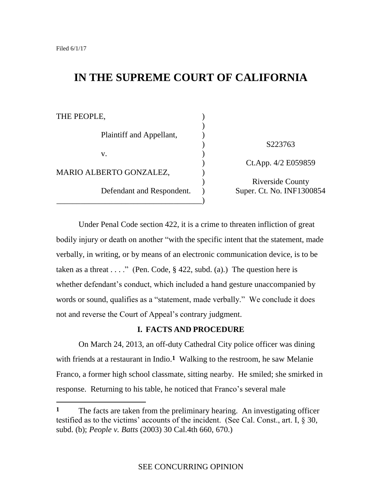# **IN THE SUPREME COURT OF CALIFORNIA**

| THE PEOPLE,               |                           |
|---------------------------|---------------------------|
|                           |                           |
| Plaintiff and Appellant,  |                           |
|                           | S223763                   |
| V.                        |                           |
|                           | Ct.App. 4/2 E059859       |
| MARIO ALBERTO GONZALEZ,   |                           |
| Defendant and Respondent. | <b>Riverside County</b>   |
|                           | Super. Ct. No. INF1300854 |
|                           |                           |

Under Penal Code section 422, it is a crime to threaten infliction of great bodily injury or death on another "with the specific intent that the statement, made verbally, in writing, or by means of an electronic communication device, is to be taken as a threat  $\dots$ ." (Pen. Code, § 422, subd. (a).) The question here is whether defendant's conduct, which included a hand gesture unaccompanied by words or sound, qualifies as a "statement, made verbally." We conclude it does not and reverse the Court of Appeal's contrary judgment.

### **I. FACTS AND PROCEDURE**

On March 24, 2013, an off-duty Cathedral City police officer was dining with friends at a restaurant in Indio.<sup>1</sup> Walking to the restroom, he saw Melanie Franco, a former high school classmate, sitting nearby. He smiled; she smirked in response. Returning to his table, he noticed that Franco's several male

**<sup>1</sup>** The facts are taken from the preliminary hearing. An investigating officer testified as to the victims' accounts of the incident. (See Cal. Const., art. I, § 30, subd. (b); *People v. Batts* (2003) 30 Cal.4th 660, 670.)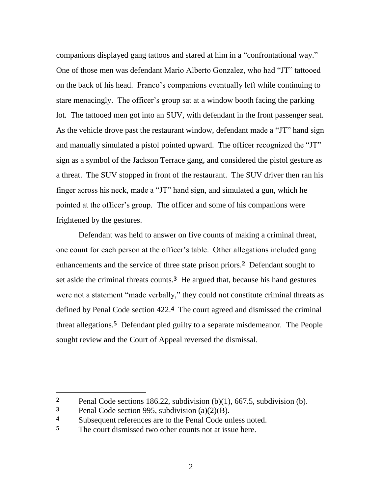companions displayed gang tattoos and stared at him in a "confrontational way." One of those men was defendant Mario Alberto Gonzalez, who had "JT" tattooed on the back of his head. Franco's companions eventually left while continuing to stare menacingly. The officer's group sat at a window booth facing the parking lot. The tattooed men got into an SUV, with defendant in the front passenger seat. As the vehicle drove past the restaurant window, defendant made a "JT" hand sign and manually simulated a pistol pointed upward. The officer recognized the "JT" sign as a symbol of the Jackson Terrace gang, and considered the pistol gesture as a threat. The SUV stopped in front of the restaurant. The SUV driver then ran his finger across his neck, made a "JT" hand sign, and simulated a gun, which he pointed at the officer's group. The officer and some of his companions were frightened by the gestures.

Defendant was held to answer on five counts of making a criminal threat, one count for each person at the officer's table. Other allegations included gang enhancements and the service of three state prison priors.**2** Defendant sought to set aside the criminal threats counts.**3** He argued that, because his hand gestures were not a statement "made verbally," they could not constitute criminal threats as defined by Penal Code section 422. **4** The court agreed and dismissed the criminal threat allegations.**5** Defendant pled guilty to a separate misdemeanor. The People sought review and the Court of Appeal reversed the dismissal.

**<sup>2</sup>** Penal Code sections 186.22, subdivision (b)(1), 667.5, subdivision (b).

**<sup>3</sup>** Penal Code section 995, subdivision (a)(2)(B).

**<sup>4</sup>** Subsequent references are to the Penal Code unless noted.

**<sup>5</sup>** The court dismissed two other counts not at issue here.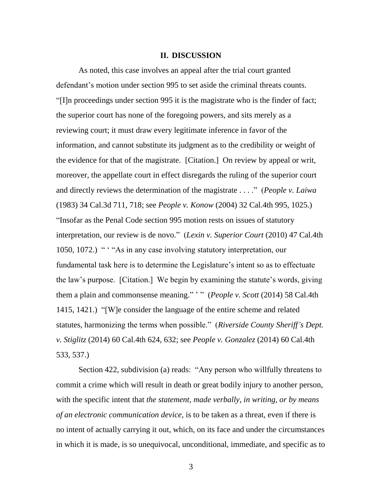### **II. DISCUSSION**

As noted, this case involves an appeal after the trial court granted defendant's motion under section 995 to set aside the criminal threats counts. ―[I]n proceedings under section 995 it is the magistrate who is the finder of fact; the superior court has none of the foregoing powers, and sits merely as a reviewing court; it must draw every legitimate inference in favor of the information, and cannot substitute its judgment as to the credibility or weight of the evidence for that of the magistrate. [Citation.] On review by appeal or writ, moreover, the appellate court in effect disregards the ruling of the superior court and directly reviews the determination of the magistrate . . . ." (*People v. Laiwa*) (1983) 34 Cal.3d 711, 718; see *People v. Konow* (2004) 32 Cal.4th 995, 1025.) "Insofar as the Penal Code section 995 motion rests on issues of statutory interpretation, our review is de novo." (*Lexin v. Superior Court* (2010) 47 Cal.4th 1050, 1072.) " ' "As in any case involving statutory interpretation, our fundamental task here is to determine the Legislature's intent so as to effectuate the law's purpose. [Citation.] We begin by examining the statute's words, giving them a plain and commonsense meaning." '" (*People v. Scott* (2014) 58 Cal.4th 1415, 1421.) "[W] e consider the language of the entire scheme and related statutes, harmonizing the terms when possible.‖ (*Riverside County Sheriff's Dept. v. Stiglitz* (2014) 60 Cal.4th 624, 632; see *People v. Gonzalez* (2014) 60 Cal.4th 533, 537.)

Section 422, subdivision (a) reads: "Any person who willfully threatens to commit a crime which will result in death or great bodily injury to another person, with the specific intent that *the statement, made verbally, in writing, or by means of an electronic communication device*, is to be taken as a threat, even if there is no intent of actually carrying it out, which, on its face and under the circumstances in which it is made, is so unequivocal, unconditional, immediate, and specific as to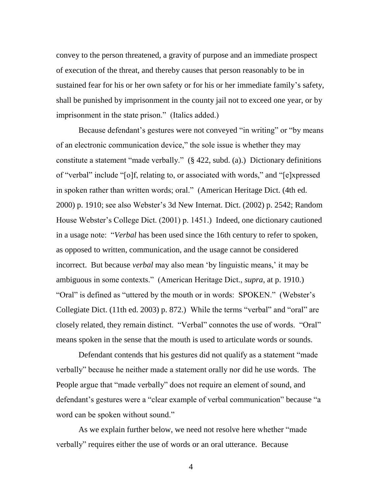convey to the person threatened, a gravity of purpose and an immediate prospect of execution of the threat, and thereby causes that person reasonably to be in sustained fear for his or her own safety or for his or her immediate family's safety, shall be punished by imprisonment in the county jail not to exceed one year, or by imprisonment in the state prison." (Italics added.)

Because defendant's gestures were not conveyed "in writing" or "by means" of an electronic communication device," the sole issue is whether they may constitute a statement "made verbally."  $(\S$  422, subd. (a).) Dictionary definitions of "verbal" include "[o]f, relating to, or associated with words," and "[e]xpressed in spoken rather than written words; oral." (American Heritage Dict. (4th ed. 2000) p. 1910; see also Webster's 3d New Internat. Dict. (2002) p. 2542; Random House Webster's College Dict. (2001) p. 1451.) Indeed, one dictionary cautioned in a usage note: "Verbal has been used since the 16th century to refer to spoken, as opposed to written, communication, and the usage cannot be considered incorrect. But because *verbal* may also mean 'by linguistic means,' it may be ambiguous in some contexts.‖ (American Heritage Dict., *supra*, at p. 1910.) "Oral" is defined as "uttered by the mouth or in words: SPOKEN." (Webster's Collegiate Dict. (11th ed. 2003) p. 872.) While the terms "verbal" and "oral" are closely related, they remain distinct. "Verbal" connotes the use of words. "Oral" means spoken in the sense that the mouth is used to articulate words or sounds.

Defendant contends that his gestures did not qualify as a statement "made" verbally" because he neither made a statement orally nor did he use words. The People argue that "made verbally" does not require an element of sound, and defendant's gestures were a "clear example of verbal communication" because "a word can be spoken without sound."

As we explain further below, we need not resolve here whether "made" verbally" requires either the use of words or an oral utterance. Because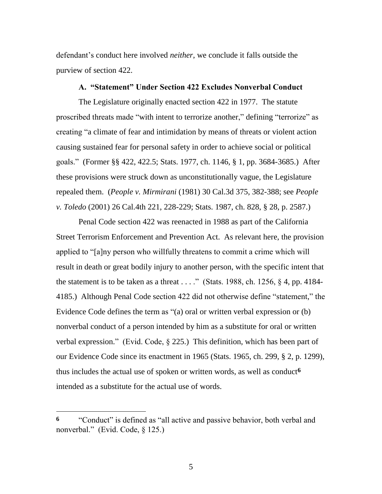defendant's conduct here involved *neither*, we conclude it falls outside the purview of section 422.

### **A. "Statement" Under Section 422 Excludes Nonverbal Conduct**

The Legislature originally enacted section 422 in 1977. The statute proscribed threats made "with intent to terrorize another," defining "terrorize" as creating "a climate of fear and intimidation by means of threats or violent action causing sustained fear for personal safety in order to achieve social or political goals.‖ (Former §§ 422, 422.5; Stats. 1977, ch. 1146, § 1, pp. 3684-3685.) After these provisions were struck down as unconstitutionally vague, the Legislature repealed them. (*People v. Mirmirani* (1981) 30 Cal.3d 375, 382-388; see *People v. Toledo* (2001) 26 Cal.4th 221, 228-229; Stats. 1987, ch. 828, § 28, p. 2587.)

Penal Code section 422 was reenacted in 1988 as part of the California Street Terrorism Enforcement and Prevention Act. As relevant here, the provision applied to "[a]ny person who willfully threatens to commit a crime which will result in death or great bodily injury to another person, with the specific intent that the statement is to be taken as a threat  $\dots$ ." (Stats. 1988, ch. 1256, § 4, pp. 4184-4185.) Although Penal Code section 422 did not otherwise define "statement," the Evidence Code defines the term as  $\degree$ (a) oral or written verbal expression or (b) nonverbal conduct of a person intended by him as a substitute for oral or written verbal expression." (Evid. Code,  $\S$  225.) This definition, which has been part of our Evidence Code since its enactment in 1965 (Stats. 1965, ch. 299, § 2, p. 1299), thus includes the actual use of spoken or written words, as well as conduct**6** intended as a substitute for the actual use of words.

<sup>&</sup>lt;sup>6</sup> "Conduct" is defined as "all active and passive behavior, both verbal and nonverbal." (Evid. Code, § 125.)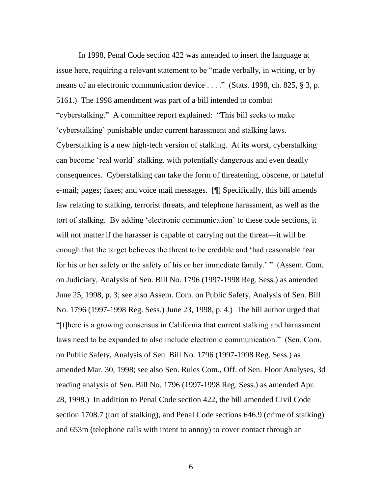In 1998, Penal Code section 422 was amended to insert the language at issue here, requiring a relevant statement to be "made verbally, in writing, or by means of an electronic communication device  $\dots$ ." (Stats. 1998, ch. 825, § 3, p. 5161.) The 1998 amendment was part of a bill intended to combat "cyberstalking." A committee report explained: "This bill seeks to make ‗cyberstalking' punishable under current harassment and stalking laws. Cyberstalking is a new high-tech version of stalking. At its worst, cyberstalking can become 'real world' stalking, with potentially dangerous and even deadly consequences. Cyberstalking can take the form of threatening, obscene, or hateful e-mail; pages; faxes; and voice mail messages. [¶] Specifically, this bill amends law relating to stalking, terrorist threats, and telephone harassment, as well as the tort of stalking. By adding 'electronic communication' to these code sections, it will not matter if the harasser is capable of carrying out the threat—it will be enough that the target believes the threat to be credible and 'had reasonable fear for his or her safety or the safety of his or her immediate family.' " (Assem. Com. on Judiciary, Analysis of Sen. Bill No. 1796 (1997-1998 Reg. Sess.) as amended June 25, 1998, p. 3; see also Assem. Com. on Public Safety, Analysis of Sen. Bill No. 1796 (1997-1998 Reg. Sess.) June 23, 1998, p. 4.) The bill author urged that ―[t]here is a growing consensus in California that current stalking and harassment laws need to be expanded to also include electronic communication." (Sen. Com. on Public Safety, Analysis of Sen. Bill No. 1796 (1997-1998 Reg. Sess.) as amended Mar. 30, 1998; see also Sen. Rules Com., Off. of Sen. Floor Analyses, 3d reading analysis of Sen. Bill No. 1796 (1997-1998 Reg. Sess.) as amended Apr. 28, 1998.) In addition to Penal Code section 422, the bill amended Civil Code section 1708.7 (tort of stalking), and Penal Code sections 646.9 (crime of stalking) and 653m (telephone calls with intent to annoy) to cover contact through an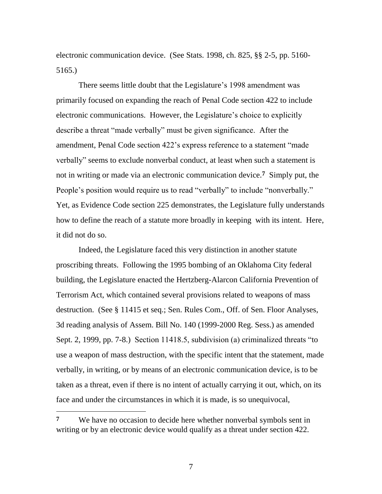electronic communication device. (See Stats. 1998, ch. 825, §§ 2-5, pp. 5160- 5165.)

There seems little doubt that the Legislature's 1998 amendment was primarily focused on expanding the reach of Penal Code section 422 to include electronic communications. However, the Legislature's choice to explicitly describe a threat "made verbally" must be given significance. After the amendment, Penal Code section 422's express reference to a statement "made" verbally" seems to exclude nonverbal conduct, at least when such a statement is not in writing or made via an electronic communication device.**7** Simply put, the People's position would require us to read "verbally" to include "nonverbally." Yet, as Evidence Code section 225 demonstrates, the Legislature fully understands how to define the reach of a statute more broadly in keeping with its intent. Here, it did not do so.

Indeed, the Legislature faced this very distinction in another statute proscribing threats. Following the 1995 bombing of an Oklahoma City federal building, the Legislature enacted the Hertzberg-Alarcon California Prevention of Terrorism Act, which contained several provisions related to weapons of mass destruction. (See § 11415 et seq.; Sen. Rules Com., Off. of Sen. Floor Analyses, 3d reading analysis of Assem. Bill No. 140 (1999-2000 Reg. Sess.) as amended Sept. 2, 1999, pp. 7-8.) Section 11418.5, subdivision (a) criminalized threats "to use a weapon of mass destruction, with the specific intent that the statement, made verbally, in writing, or by means of an electronic communication device, is to be taken as a threat, even if there is no intent of actually carrying it out, which, on its face and under the circumstances in which it is made, is so unequivocal,

**<sup>7</sup>** We have no occasion to decide here whether nonverbal symbols sent in writing or by an electronic device would qualify as a threat under section 422.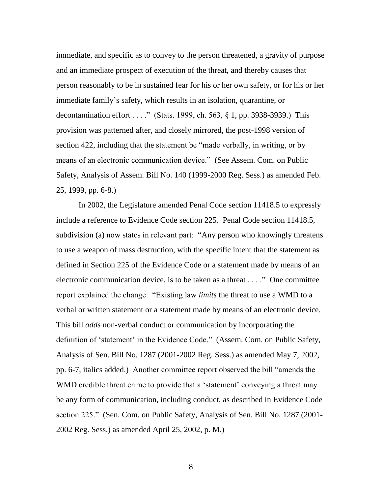immediate, and specific as to convey to the person threatened, a gravity of purpose and an immediate prospect of execution of the threat, and thereby causes that person reasonably to be in sustained fear for his or her own safety, or for his or her immediate family's safety, which results in an isolation, quarantine, or decontamination effort . . . ." (Stats. 1999, ch. 563, § 1, pp. 3938-3939.) This provision was patterned after, and closely mirrored, the post-1998 version of section 422, including that the statement be "made verbally, in writing, or by means of an electronic communication device." (See Assem. Com. on Public Safety, Analysis of Assem. Bill No. 140 (1999-2000 Reg. Sess.) as amended Feb. 25, 1999, pp. 6-8.)

In 2002, the Legislature amended Penal Code section 11418.5 to expressly include a reference to Evidence Code section 225. Penal Code section 11418.5, subdivision (a) now states in relevant part: "Any person who knowingly threatens to use a weapon of mass destruction, with the specific intent that the statement as defined in Section 225 of the Evidence Code or a statement made by means of an electronic communication device, is to be taken as a threat  $\dots$ ." One committee report explained the change: "Existing law *limits* the threat to use a WMD to a verbal or written statement or a statement made by means of an electronic device. This bill *adds* non-verbal conduct or communication by incorporating the definition of 'statement' in the Evidence Code." (Assem. Com. on Public Safety, Analysis of Sen. Bill No. 1287 (2001-2002 Reg. Sess.) as amended May 7, 2002, pp. 6-7, italics added.) Another committee report observed the bill "amends the WMD credible threat crime to provide that a 'statement' conveying a threat may be any form of communication, including conduct, as described in Evidence Code section 225." (Sen. Com. on Public Safety, Analysis of Sen. Bill No. 1287 (2001-2002 Reg. Sess.) as amended April 25, 2002, p. M.)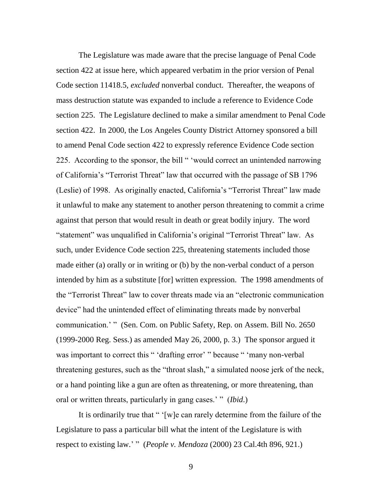The Legislature was made aware that the precise language of Penal Code section 422 at issue here, which appeared verbatim in the prior version of Penal Code section 11418.5, *excluded* nonverbal conduct. Thereafter, the weapons of mass destruction statute was expanded to include a reference to Evidence Code section 225. The Legislature declined to make a similar amendment to Penal Code section 422. In 2000, the Los Angeles County District Attorney sponsored a bill to amend Penal Code section 422 to expressly reference Evidence Code section 225. According to the sponsor, the bill " 'would correct an unintended narrowing of California's "Terrorist Threat" law that occurred with the passage of SB 1796 (Leslie) of 1998. As originally enacted, California's "Terrorist Threat" law made it unlawful to make any statement to another person threatening to commit a crime against that person that would result in death or great bodily injury. The word "statement" was unqualified in California's original "Terrorist Threat" law. As such, under Evidence Code section 225, threatening statements included those made either (a) orally or in writing or (b) by the non-verbal conduct of a person intended by him as a substitute [for] written expression. The 1998 amendments of the "Terrorist Threat" law to cover threats made via an "electronic communication" device" had the unintended effect of eliminating threats made by nonverbal communication.' " (Sen. Com. on Public Safety, Rep. on Assem. Bill No. 2650) (1999-2000 Reg. Sess.) as amended May 26, 2000, p. 3.) The sponsor argued it was important to correct this " 'drafting error' " because " 'many non-verbal threatening gestures, such as the "throat slash," a simulated noose jerk of the neck, or a hand pointing like a gun are often as threatening, or more threatening, than oral or written threats, particularly in gang cases.' " (*Ibid.*)

It is ordinarily true that " $[w]e$  can rarely determine from the failure of the Legislature to pass a particular bill what the intent of the Legislature is with respect to existing law.' " (*People v. Mendoza* (2000) 23 Cal.4th 896, 921.)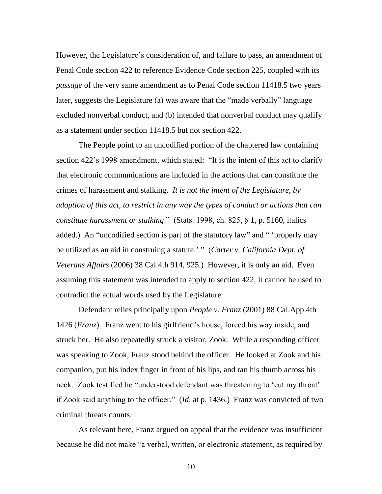However, the Legislature's consideration of, and failure to pass, an amendment of Penal Code section 422 to reference Evidence Code section 225, coupled with its *passage* of the very same amendment as to Penal Code section 11418.5 two years later, suggests the Legislature (a) was aware that the "made verbally" language excluded nonverbal conduct, and (b) intended that nonverbal conduct may qualify as a statement under section 11418.5 but not section 422.

The People point to an uncodified portion of the chaptered law containing section 422's 1998 amendment, which stated: "It is the intent of this act to clarify that electronic communications are included in the actions that can constitute the crimes of harassment and stalking. *It is not the intent of the Legislature, by adoption of this act, to restrict in any way the types of conduct or actions that can constitute harassment or stalking*.‖ (Stats. 1998, ch. 825, § 1, p. 5160, italics added.) An "uncodified section is part of the statutory law" and " 'properly may be utilized as an aid in construing a statute.' " (*Carter v. California Dept. of Veterans Affairs* (2006) 38 Cal.4th 914, 925.) However, it is only an aid. Even assuming this statement was intended to apply to section 422, it cannot be used to contradict the actual words used by the Legislature.

Defendant relies principally upon *People v. Franz* (2001) 88 Cal.App.4th 1426 (*Franz*). Franz went to his girlfriend's house, forced his way inside, and struck her. He also repeatedly struck a visitor, Zook. While a responding officer was speaking to Zook, Franz stood behind the officer. He looked at Zook and his companion, put his index finger in front of his lips, and ran his thumb across his neck. Zook testified he "understood defendant was threatening to 'cut my throat' if Zook said anything to the officer.‖ (*Id*. at p. 1436.) Franz was convicted of two criminal threats counts.

As relevant here, Franz argued on appeal that the evidence was insufficient because he did not make "a verbal, written, or electronic statement, as required by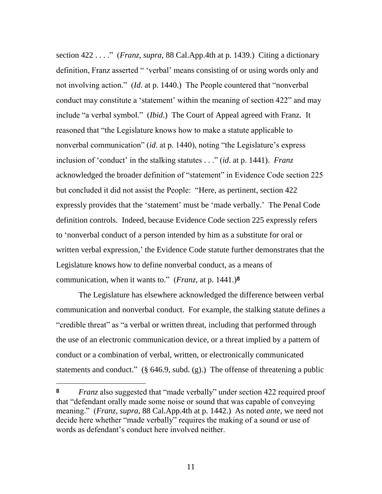section 422 . . . ." (*Franz, supra,* 88 Cal.App.4th at p. 1439.) Citing a dictionary definition, Franz asserted " 'verbal' means consisting of or using words only and not involving action." *(Id. at p. 1440.)* The People countered that "nonverbal" conduct may constitute a 'statement' within the meaning of section 422" and may include "a verbal symbol." *(Ibid.)* The Court of Appeal agreed with Franz. It reasoned that "the Legislature knows how to make a statute applicable to nonverbal communication" (*id.* at p. 1440), noting "the Legislature's express inclusion of 'conduct' in the stalking statutes . . ." *(id.* at p. 1441). *Franz* acknowledged the broader definition of "statement" in Evidence Code section 225 but concluded it did not assist the People: "Here, as pertinent, section 422 expressly provides that the 'statement' must be 'made verbally.' The Penal Code definition controls. Indeed, because Evidence Code section 225 expressly refers to ‗nonverbal conduct of a person intended by him as a substitute for oral or written verbal expression,' the Evidence Code statute further demonstrates that the Legislature knows how to define nonverbal conduct, as a means of communication, when it wants to." (*Franz*, at p. 1441.)<sup>8</sup>

The Legislature has elsewhere acknowledged the difference between verbal communication and nonverbal conduct. For example, the stalking statute defines a "credible threat" as "a verbal or written threat, including that performed through the use of an electronic communication device, or a threat implied by a pattern of conduct or a combination of verbal, written, or electronically communicated statements and conduct." (§ 646.9, subd. (g).) The offense of threatening a public

**<sup>8</sup>** *Franz* also suggested that "made verbally" under section 422 required proof that "defendant orally made some noise or sound that was capable of conveying meaning.‖ (*Franz, supra,* 88 Cal.App.4th at p. 1442.) As noted *ante*, we need not decide here whether "made verbally" requires the making of a sound or use of words as defendant's conduct here involved neither.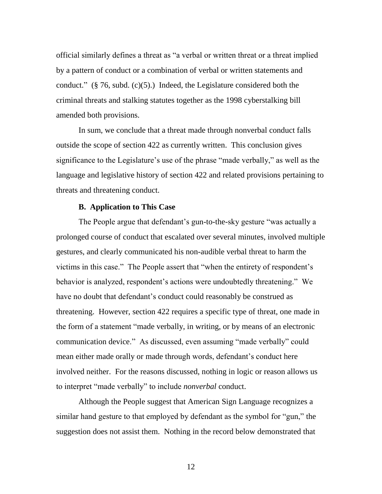official similarly defines a threat as "a verbal or written threat or a threat implied by a pattern of conduct or a combination of verbal or written statements and conduct." (§ 76, subd. (c)(5).) Indeed, the Legislature considered both the criminal threats and stalking statutes together as the 1998 cyberstalking bill amended both provisions.

In sum, we conclude that a threat made through nonverbal conduct falls outside the scope of section 422 as currently written. This conclusion gives significance to the Legislature's use of the phrase "made verbally," as well as the language and legislative history of section 422 and related provisions pertaining to threats and threatening conduct.

### **B. Application to This Case**

The People argue that defendant's gun-to-the-sky gesture "was actually a prolonged course of conduct that escalated over several minutes, involved multiple gestures, and clearly communicated his non-audible verbal threat to harm the victims in this case." The People assert that "when the entirety of respondent's behavior is analyzed, respondent's actions were undoubtedly threatening." We have no doubt that defendant's conduct could reasonably be construed as threatening. However, section 422 requires a specific type of threat, one made in the form of a statement "made verbally, in writing, or by means of an electronic communication device." As discussed, even assuming "made verbally" could mean either made orally or made through words, defendant's conduct here involved neither. For the reasons discussed, nothing in logic or reason allows us to interpret "made verbally" to include *nonverbal* conduct.

Although the People suggest that American Sign Language recognizes a similar hand gesture to that employed by defendant as the symbol for "gun," the suggestion does not assist them. Nothing in the record below demonstrated that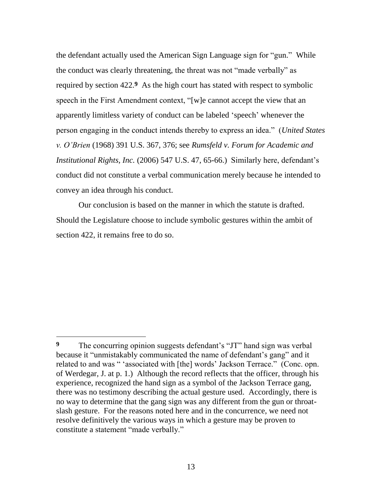the defendant actually used the American Sign Language sign for "gun." While the conduct was clearly threatening, the threat was not "made verbally" as required by section 422.**9** As the high court has stated with respect to symbolic speech in the First Amendment context, "[w]e cannot accept the view that an apparently limitless variety of conduct can be labeled 'speech' whenever the person engaging in the conduct intends thereby to express an idea.‖ (*United States v. O'Brien* (1968) 391 U.S. 367, 376; see *Rumsfeld v. Forum for Academic and Institutional Rights, Inc.* (2006) 547 U.S. 47, 65-66.) Similarly here, defendant's conduct did not constitute a verbal communication merely because he intended to convey an idea through his conduct.

Our conclusion is based on the manner in which the statute is drafted. Should the Legislature choose to include symbolic gestures within the ambit of section 422, it remains free to do so.

**<sup>9</sup>** The concurring opinion suggests defendant's "JT" hand sign was verbal because it "unmistakably communicated the name of defendant's gang" and it related to and was "'associated with [the] words' Jackson Terrace." (Conc. opn. of Werdegar, J. at p. 1.) Although the record reflects that the officer, through his experience, recognized the hand sign as a symbol of the Jackson Terrace gang, there was no testimony describing the actual gesture used. Accordingly, there is no way to determine that the gang sign was any different from the gun or throatslash gesture. For the reasons noted here and in the concurrence, we need not resolve definitively the various ways in which a gesture may be proven to constitute a statement "made verbally."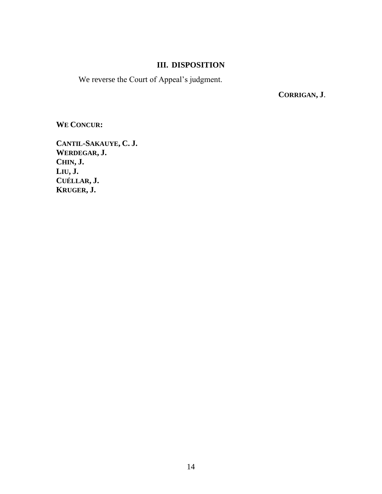## **III. DISPOSITION**

We reverse the Court of Appeal's judgment.

**CORRIGAN, J**.

**WE CONCUR:**

**CANTIL-SAKAUYE, C. J. WERDEGAR, J. CHIN, J. LIU, J. CUÉLLAR, J. KRUGER, J.**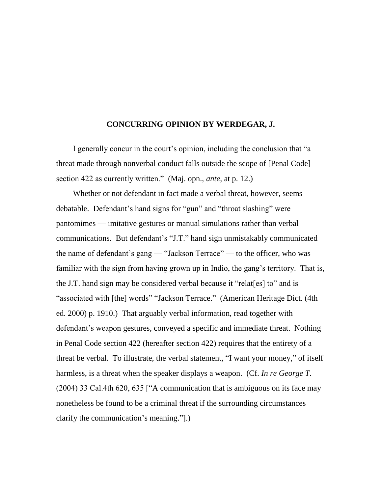### **CONCURRING OPINION BY WERDEGAR, J.**

I generally concur in the court's opinion, including the conclusion that "a threat made through nonverbal conduct falls outside the scope of [Penal Code] section 422 as currently written." (Maj. opn., *ante*, at p. 12.)

Whether or not defendant in fact made a verbal threat, however, seems debatable. Defendant's hand signs for "gun" and "throat slashing" were pantomimes — imitative gestures or manual simulations rather than verbal communications. But defendant's "J.T." hand sign unmistakably communicated the name of defendant's gang — "Jackson Terrace" — to the officer, who was familiar with the sign from having grown up in Indio, the gang's territory. That is, the J.T. hand sign may be considered verbal because it "relat  $[es]$  to" and is "associated with [the] words" "Jackson Terrace." (American Heritage Dict. (4th ed. 2000) p. 1910.) That arguably verbal information, read together with defendant's weapon gestures, conveyed a specific and immediate threat. Nothing in Penal Code section 422 (hereafter section 422) requires that the entirety of a threat be verbal. To illustrate, the verbal statement, "I want your money," of itself harmless, is a threat when the speaker displays a weapon. (Cf. *In re George T.*  $(2004)$  33 Cal.4th 620, 635 ["A communication that is ambiguous on its face may nonetheless be found to be a criminal threat if the surrounding circumstances clarify the communication's meaning."...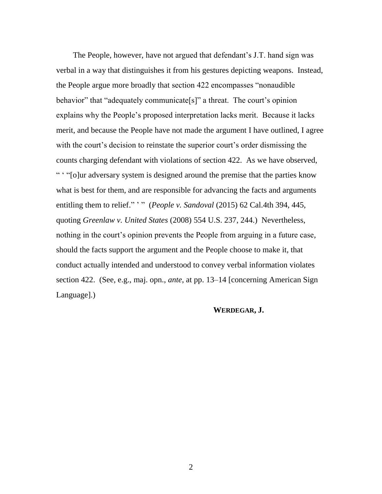The People, however, have not argued that defendant's J.T. hand sign was verbal in a way that distinguishes it from his gestures depicting weapons. Instead, the People argue more broadly that section 422 encompasses "nonaudible" behavior" that "adequately communicate<sup>[s]"</sup> a threat. The court's opinion explains why the People's proposed interpretation lacks merit. Because it lacks merit, and because the People have not made the argument I have outlined, I agree with the court's decision to reinstate the superior court's order dismissing the counts charging defendant with violations of section 422. As we have observed, ― ‗ ―[o]ur adversary system is designed around the premise that the parties know what is best for them, and are responsible for advancing the facts and arguments entitling them to relief." '" (*People v. Sandoval* (2015) 62 Cal.4th 394, 445, quoting *Greenlaw v. United States* (2008) 554 U.S. 237, 244.) Nevertheless, nothing in the court's opinion prevents the People from arguing in a future case, should the facts support the argument and the People choose to make it, that conduct actually intended and understood to convey verbal information violates section 422. (See, e.g., maj. opn., *ante*, at pp. 13–14 [concerning American Sign Language].)

### **WERDEGAR, J.**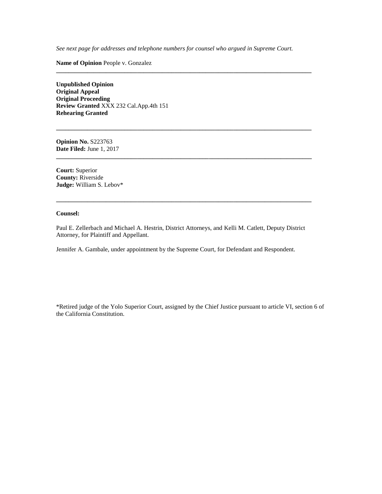*See next page for addresses and telephone numbers for counsel who argued in Supreme Court.*

**\_\_\_\_\_\_\_\_\_\_\_\_\_\_\_\_\_\_\_\_\_\_\_\_\_\_\_\_\_\_\_\_\_\_\_\_\_\_\_\_\_\_\_\_\_\_\_\_\_\_\_\_\_\_\_\_\_\_\_\_\_\_\_\_\_\_\_\_\_\_\_\_\_\_\_\_\_\_\_\_\_\_**

**\_\_\_\_\_\_\_\_\_\_\_\_\_\_\_\_\_\_\_\_\_\_\_\_\_\_\_\_\_\_\_\_\_\_\_\_\_\_\_\_\_\_\_\_\_\_\_\_\_\_\_\_\_\_\_\_\_\_\_\_\_\_\_\_\_\_\_\_\_\_\_\_\_\_\_\_\_\_\_\_\_\_**

**\_\_\_\_\_\_\_\_\_\_\_\_\_\_\_\_\_\_\_\_\_\_\_\_\_\_\_\_\_\_\_\_\_\_\_\_\_\_\_\_\_\_\_\_\_\_\_\_\_\_\_\_\_\_\_\_\_\_\_\_\_\_\_\_\_\_\_\_\_\_\_\_\_\_\_\_\_\_\_\_\_\_**

**\_\_\_\_\_\_\_\_\_\_\_\_\_\_\_\_\_\_\_\_\_\_\_\_\_\_\_\_\_\_\_\_\_\_\_\_\_\_\_\_\_\_\_\_\_\_\_\_\_\_\_\_\_\_\_\_\_\_\_\_\_\_\_\_\_\_\_\_\_\_\_\_\_\_\_\_\_\_\_\_\_\_**

**Name of Opinion** People v. Gonzalez

**Unpublished Opinion Original Appeal Original Proceeding Review Granted** XXX 232 Cal.App.4th 151 **Rehearing Granted**

**Opinion No.** S223763 **Date Filed:** June 1, 2017

**Court:** Superior **County:** Riverside **Judge:** William S. Lebov\*

#### **Counsel:**

Paul E. Zellerbach and Michael A. Hestrin, District Attorneys, and Kelli M. Catlett, Deputy District Attorney, for Plaintiff and Appellant.

Jennifer A. Gambale, under appointment by the Supreme Court, for Defendant and Respondent.

\*Retired judge of the Yolo Superior Court, assigned by the Chief Justice pursuant to article VI, section 6 of the California Constitution.